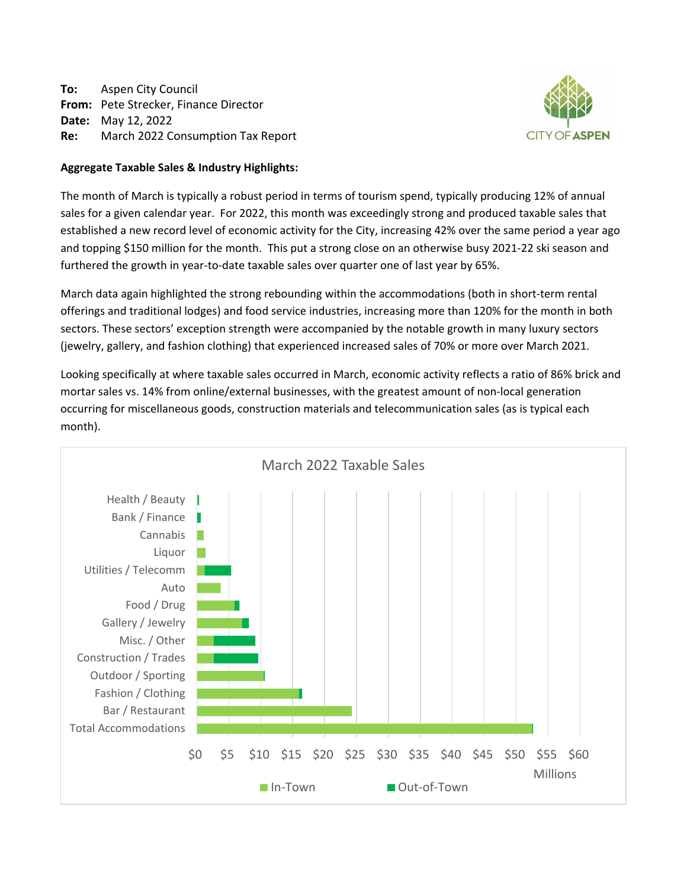**To:** Aspen City Council **From:** Pete Strecker, Finance Director **Date:** May 12, 2022 **Re:** March 2022 Consumption Tax Report



### **Aggregate Taxable Sales & Industry Highlights:**

The month of March is typically a robust period in terms of tourism spend, typically producing 12% of annual sales for a given calendar year. For 2022, this month was exceedingly strong and produced taxable sales that established a new record level of economic activity for the City, increasing 42% over the same period a year ago and topping \$150 million for the month. This put a strong close on an otherwise busy 2021‐22 ski season and furthered the growth in year-to-date taxable sales over quarter one of last year by 65%.

March data again highlighted the strong rebounding within the accommodations (both in short‐term rental offerings and traditional lodges) and food service industries, increasing more than 120% for the month in both sectors. These sectors' exception strength were accompanied by the notable growth in many luxury sectors (jewelry, gallery, and fashion clothing) that experienced increased sales of 70% or more over March 2021.

Looking specifically at where taxable sales occurred in March, economic activity reflects a ratio of 86% brick and mortar sales vs. 14% from online/external businesses, with the greatest amount of non‐local generation occurring for miscellaneous goods, construction materials and telecommunication sales (as is typical each month).

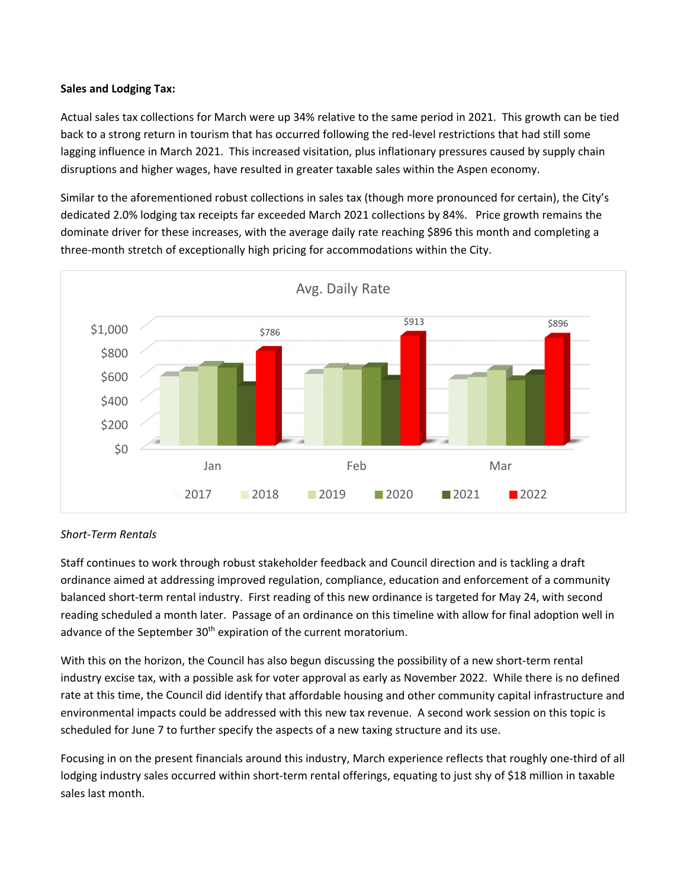## **Sales and Lodging Tax:**

Actual sales tax collections for March were up 34% relative to the same period in 2021. This growth can be tied back to a strong return in tourism that has occurred following the red‐level restrictions that had still some lagging influence in March 2021. This increased visitation, plus inflationary pressures caused by supply chain disruptions and higher wages, have resulted in greater taxable sales within the Aspen economy.

Similar to the aforementioned robust collections in sales tax (though more pronounced for certain), the City's dedicated 2.0% lodging tax receipts far exceeded March 2021 collections by 84%. Price growth remains the dominate driver for these increases, with the average daily rate reaching \$896 this month and completing a three‐month stretch of exceptionally high pricing for accommodations within the City.



## *Short‐Term Rentals*

Staff continues to work through robust stakeholder feedback and Council direction and is tackling a draft ordinance aimed at addressing improved regulation, compliance, education and enforcement of a community balanced short‐term rental industry. First reading of this new ordinance is targeted for May 24, with second reading scheduled a month later. Passage of an ordinance on this timeline with allow for final adoption well in advance of the September 30<sup>th</sup> expiration of the current moratorium.

With this on the horizon, the Council has also begun discussing the possibility of a new short‐term rental industry excise tax, with a possible ask for voter approval as early as November 2022. While there is no defined rate at this time, the Council did identify that affordable housing and other community capital infrastructure and environmental impacts could be addressed with this new tax revenue. A second work session on this topic is scheduled for June 7 to further specify the aspects of a new taxing structure and its use.

Focusing in on the present financials around this industry, March experience reflects that roughly one‐third of all lodging industry sales occurred within short-term rental offerings, equating to just shy of \$18 million in taxable sales last month.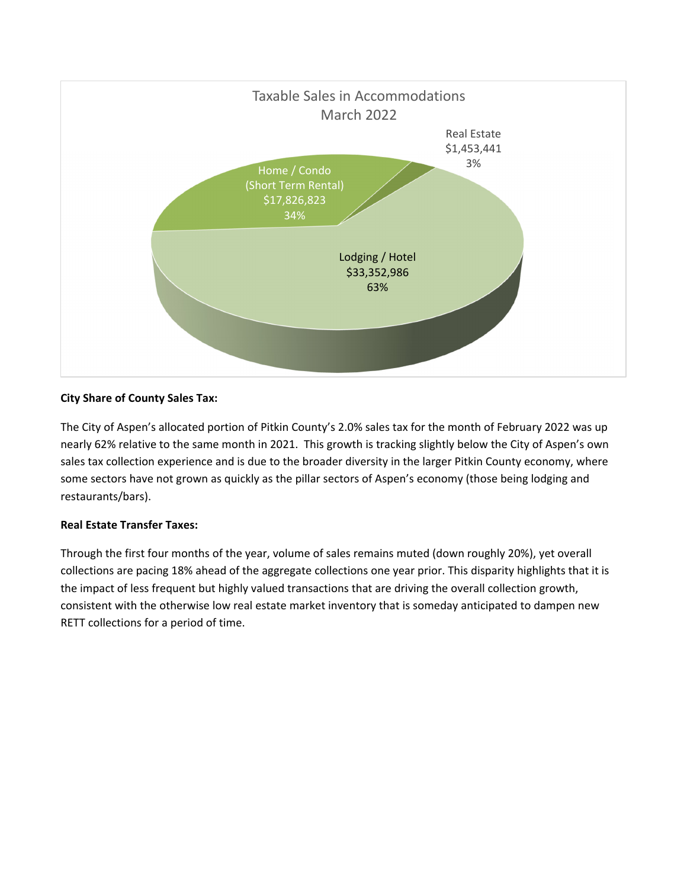

## **City Share of County Sales Tax:**

The City of Aspen's allocated portion of Pitkin County's 2.0% sales tax for the month of February 2022 was up nearly 62% relative to the same month in 2021. This growth is tracking slightly below the City of Aspen's own sales tax collection experience and is due to the broader diversity in the larger Pitkin County economy, where some sectors have not grown as quickly as the pillar sectors of Aspen's economy (those being lodging and restaurants/bars).

### **Real Estate Transfer Taxes:**

Through the first four months of the year, volume of sales remains muted (down roughly 20%), yet overall collections are pacing 18% ahead of the aggregate collections one year prior. This disparity highlights that it is the impact of less frequent but highly valued transactions that are driving the overall collection growth, consistent with the otherwise low real estate market inventory that is someday anticipated to dampen new RETT collections for a period of time.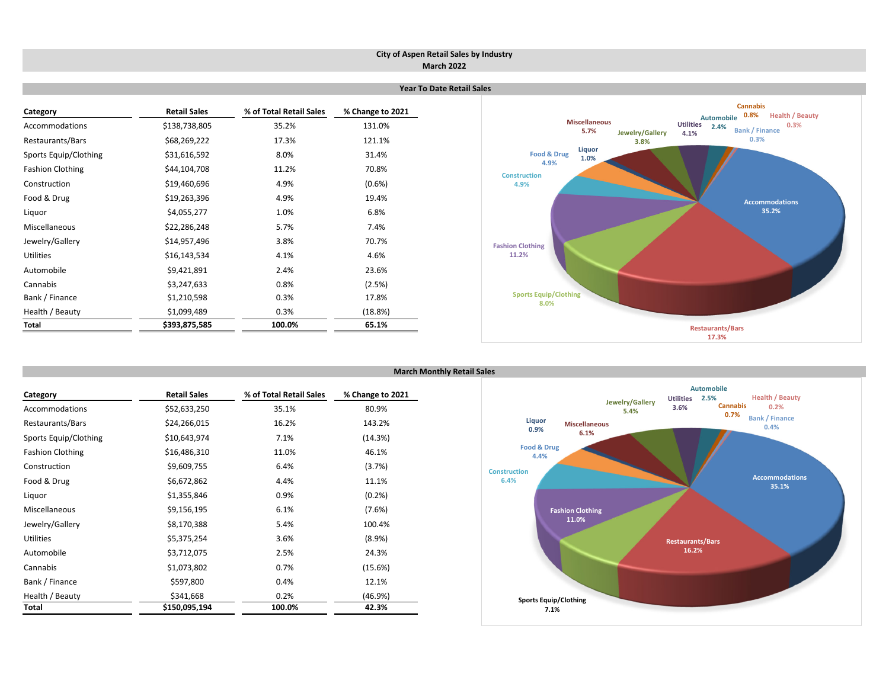#### **City of Aspen Retail Sales by Industry March 2022**

| Category                | <b>Retail Sales</b> | % of Total Retail Sales | % Change to 2021 |
|-------------------------|---------------------|-------------------------|------------------|
| Accommodations          | \$138,738,805       | 35.2%                   | 131.0%           |
| Restaurants/Bars        | \$68,269,222        | 17.3%                   | 121.1%           |
| Sports Equip/Clothing   | \$31,616,592        | 8.0%                    | 31.4%            |
| <b>Fashion Clothing</b> | \$44,104,708        | 11.2%                   | 70.8%            |
| Construction            | \$19,460,696        | 4.9%                    | $(0.6\%)$        |
| Food & Drug             | \$19,263,396        | 4.9%                    | 19.4%            |
| Liquor                  | \$4,055,277         | 1.0%                    | 6.8%             |
| <b>Miscellaneous</b>    | \$22,286,248        | 5.7%                    | 7.4%             |
| Jewelry/Gallery         | \$14,957,496        | 3.8%                    | 70.7%            |
| <b>Utilities</b>        | \$16,143,534        | 4.1%                    | 4.6%             |
| Automobile              | \$9,421,891         | 2.4%                    | 23.6%            |
| Cannabis                | \$3,247,633         | 0.8%                    | (2.5%)           |
| Bank / Finance          | \$1,210,598         | 0.3%                    | 17.8%            |
| Health / Beauty         | \$1,099,489         | 0.3%                    | (18.8%)          |
| Total                   | \$393,875,585       | 100.0%                  | 65.1%            |



| Category                | <b>Retail Sales</b> | % of Total Retail Sales | % Change to 2021 |
|-------------------------|---------------------|-------------------------|------------------|
| Accommodations          | \$52,633,250        | 35.1%                   | 80.9%            |
| Restaurants/Bars        | \$24,266,015        | 16.2%                   | 143.2%           |
| Sports Equip/Clothing   | \$10,643,974        | 7.1%                    | (14.3%)          |
| <b>Fashion Clothing</b> | \$16,486,310        | 11.0%                   | 46.1%            |
| Construction            | \$9,609,755         | 6.4%                    | (3.7%)           |
| Food & Drug             | \$6,672,862         | 4.4%                    | 11.1%            |
| Liguor                  | \$1,355,846         | 0.9%                    | (0.2%            |
| Miscellaneous           | \$9,156,195         | 6.1%                    | (7.6%)           |
| Jewelry/Gallery         | \$8,170,388         | 5.4%                    | 100.4%           |
| Utilities               | \$5,375,254         | 3.6%                    | $(8.9\%)$        |
| Automobile              | \$3,712,075         | 2.5%                    | 24.3%            |
| Cannabis                | \$1,073,802         | 0.7%                    | (15.6%)          |
| Bank / Finance          | \$597,800           | 0.4%                    | 12.1%            |
| Health / Beauty         | \$341,668           | 0.2%                    | (46.9%)          |
| Total                   | \$150,095,194       | 100.0%                  | 42.3%            |

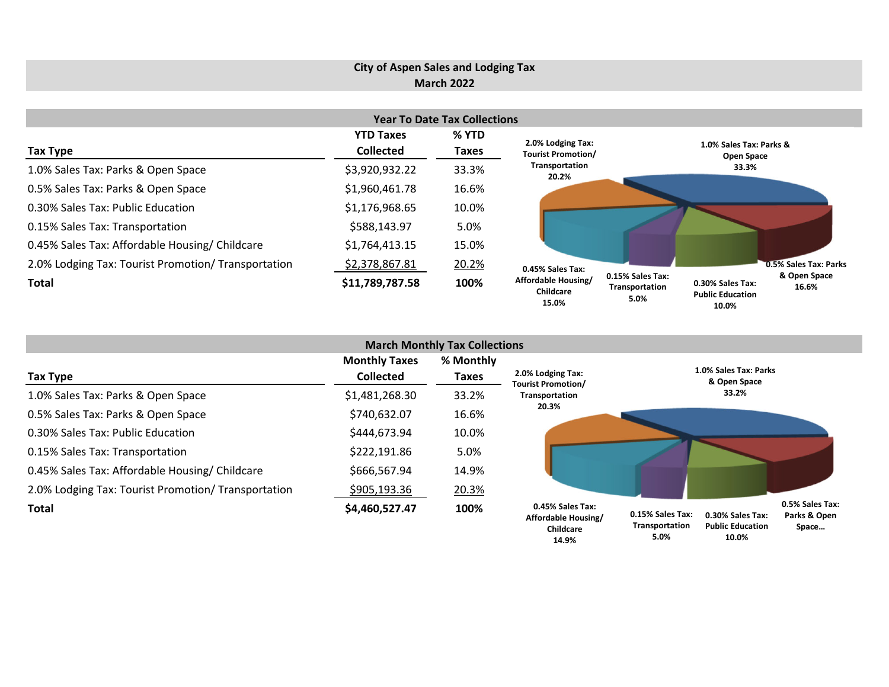# **City of Aspen Sales and Lodging Tax March 2022**

|                                                     |                  | <b>Year To Date Tax Collections</b> |                                           |                                                                                                                             |
|-----------------------------------------------------|------------------|-------------------------------------|-------------------------------------------|-----------------------------------------------------------------------------------------------------------------------------|
|                                                     | <b>YTD Taxes</b> | % YTD                               | 2.0% Lodging Tax:                         |                                                                                                                             |
| Tax Type                                            | <b>Collected</b> | <b>Taxes</b>                        | <b>Tourist Promotion/</b>                 | 1.0% Sales Tax: Parks &<br><b>Open Space</b>                                                                                |
| 1.0% Sales Tax: Parks & Open Space                  | \$3,920,932.22   | 33.3%                               | Transportation<br>20.2%                   | 33.3%                                                                                                                       |
| 0.5% Sales Tax: Parks & Open Space                  | \$1,960,461.78   | 16.6%                               |                                           |                                                                                                                             |
| 0.30% Sales Tax: Public Education                   | \$1,176,968.65   | 10.0%                               |                                           |                                                                                                                             |
| 0.15% Sales Tax: Transportation                     | \$588,143.97     | 5.0%                                |                                           |                                                                                                                             |
| 0.45% Sales Tax: Affordable Housing/ Childcare      | \$1,764,413.15   | 15.0%                               |                                           |                                                                                                                             |
| 2.0% Lodging Tax: Tourist Promotion/ Transportation | \$2,378,867.81   | 20.2%                               | 0.45% Sales Tax:                          | 0.5% Sales Tax: Parks                                                                                                       |
| <b>Total</b>                                        | \$11,789,787.58  | 100%                                | Affordable Housing/<br>Childcare<br>15.0% | 0.15% Sales Tax:<br>& Open Space<br>0.30% Sales Tax:<br>16.6%<br>Transportation<br><b>Public Education</b><br>5.0%<br>10.0% |

| <b>March Monthly Tax Collections</b>                |                                          |                    |                                                      |                                    |                                             |                                          |  |  |  |
|-----------------------------------------------------|------------------------------------------|--------------------|------------------------------------------------------|------------------------------------|---------------------------------------------|------------------------------------------|--|--|--|
| <b>Tax Type</b>                                     | <b>Monthly Taxes</b><br><b>Collected</b> | % Monthly<br>Taxes | 2.0% Lodging Tax:<br><b>Tourist Promotion/</b>       |                                    | 1.0% Sales Tax: Parks<br>& Open Space       |                                          |  |  |  |
| 1.0% Sales Tax: Parks & Open Space                  | \$1,481,268.30                           | 33.2%              | Transportation                                       |                                    | 33.2%                                       |                                          |  |  |  |
| 0.5% Sales Tax: Parks & Open Space                  | \$740,632.07                             | 16.6%              | 20.3%                                                |                                    |                                             |                                          |  |  |  |
| 0.30% Sales Tax: Public Education                   | \$444,673.94                             | 10.0%              |                                                      |                                    |                                             |                                          |  |  |  |
| 0.15% Sales Tax: Transportation                     | \$222,191.86                             | 5.0%               |                                                      |                                    |                                             |                                          |  |  |  |
| 0.45% Sales Tax: Affordable Housing/ Childcare      | \$666,567.94                             | 14.9%              |                                                      |                                    |                                             |                                          |  |  |  |
| 2.0% Lodging Tax: Tourist Promotion/ Transportation | \$905,193.36                             | 20.3%              |                                                      |                                    |                                             |                                          |  |  |  |
| <b>Total</b>                                        | \$4,460,527.47                           | 100%               | 0.45% Sales Tax:<br>Affordable Housing/<br>Childcare | 0.15% Sales Tax:<br>Transportation | 0.30% Sales Tax:<br><b>Public Education</b> | 0.5% Sales Tax:<br>Parks & Open<br>Space |  |  |  |

**Public Education 10.0% Transportation 5.0%**

**10.0%**

**14.9%**

**Space…**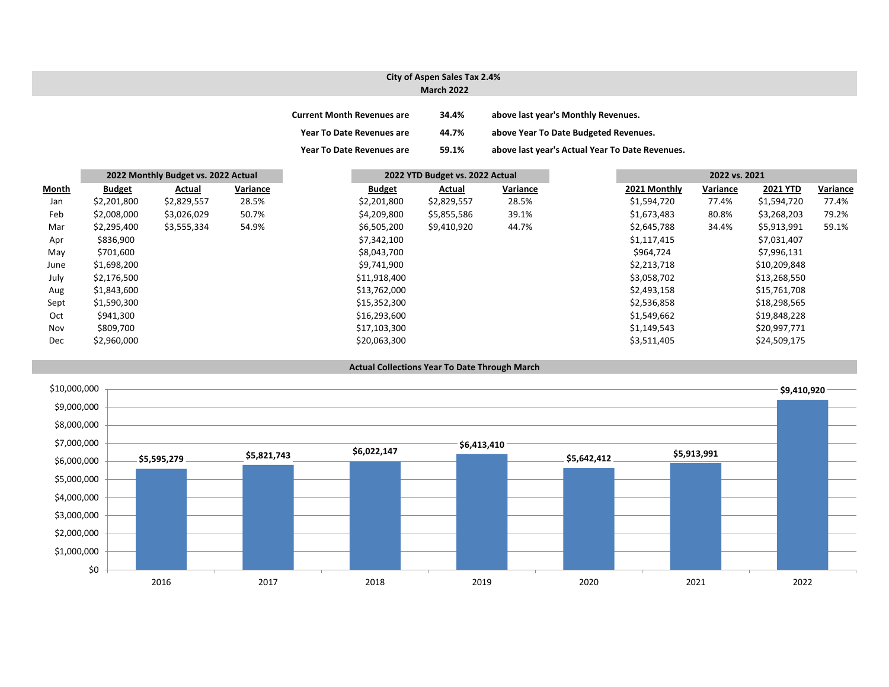#### **City of Aspen Sales Tax 2.4% March 2022**

| <b>Current Month Revenues are</b> | 34.4% | above last year's Monthly Revenues.             |
|-----------------------------------|-------|-------------------------------------------------|
| <b>Year To Date Revenues are</b>  | 44.7% | above Year To Date Budgeted Revenues.           |
| <b>Year To Date Revenues are</b>  | 59.1% | above last year's Actual Year To Date Revenues. |

|       |               | 2022 Monthly Budget vs. 2022 Actual |          |               | 2022 YTD Budget vs. 2022 Actual |          |              | 2022 vs. 2021 |                 |          |
|-------|---------------|-------------------------------------|----------|---------------|---------------------------------|----------|--------------|---------------|-----------------|----------|
| Month | <b>Budget</b> | Actual                              | Variance | <b>Budget</b> | Actual                          | Variance | 2021 Monthly | Variance      | <b>2021 YTD</b> | Variance |
| Jan   | \$2,201,800   | \$2,829,557                         | 28.5%    | \$2,201,800   | \$2,829,557                     | 28.5%    | \$1,594,720  | 77.4%         | \$1,594,720     |          |
| Feb   | \$2,008,000   | \$3,026,029                         | 50.7%    | \$4,209,800   | \$5,855,586                     | 39.1%    | \$1,673,483  | 80.8%         | \$3,268,203     |          |
| Mar   | \$2,295,400   | \$3,555,334                         | 54.9%    | \$6,505,200   | \$9,410,920                     | 44.7%    | \$2,645,788  | 34.4%         | \$5,913,991     |          |
| Apr   | \$836,900     |                                     |          | \$7,342,100   |                                 |          | \$1,117,415  |               | \$7,031,407     |          |
| May   | \$701,600     |                                     |          | \$8,043,700   |                                 |          | \$964,724    |               | \$7,996,131     |          |
| June  | \$1,698,200   |                                     |          | \$9,741,900   |                                 |          | \$2,213,718  |               | \$10,209,848    |          |
| July  | \$2,176,500   |                                     |          | \$11,918,400  |                                 |          | \$3,058,702  |               | \$13,268,550    |          |
| Aug   | \$1,843,600   |                                     |          | \$13,762,000  |                                 |          | \$2,493,158  |               | \$15,761,708    |          |
| Sept  | \$1,590,300   |                                     |          | \$15,352,300  |                                 |          | \$2,536,858  |               | \$18,298,565    |          |
| Oct   | \$941,300     |                                     |          | \$16,293,600  |                                 |          | \$1,549,662  |               | \$19,848,228    |          |
| Nov   | \$809,700     |                                     |          | \$17,103,300  |                                 |          | \$1,149,543  |               | \$20,997,771    |          |
| Dec   | \$2,960,000   |                                     |          | \$20,063,300  |                                 |          | \$3,511,405  |               | \$24,509,175    |          |



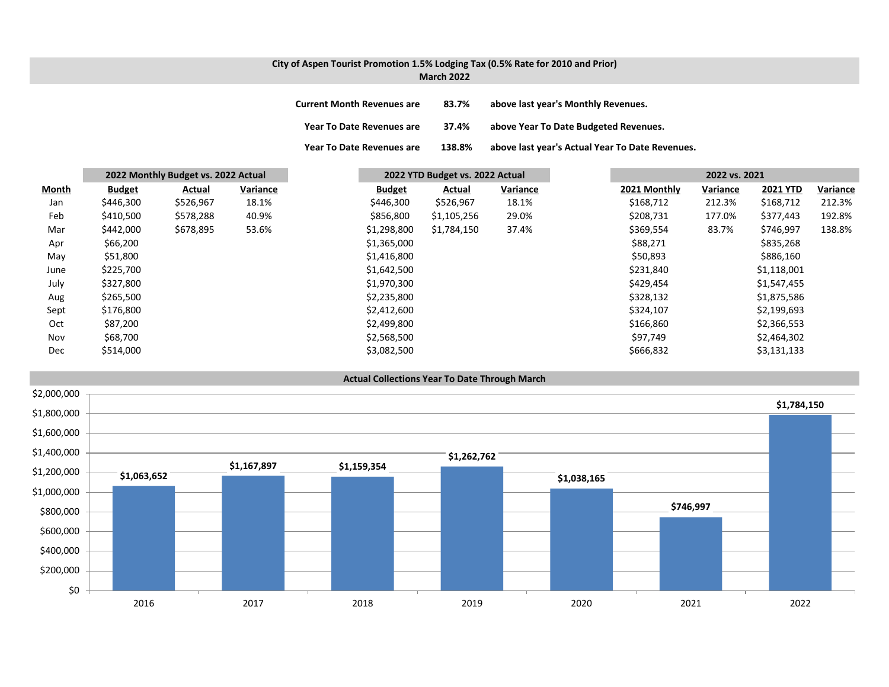# **City of Aspen Tourist Promotion 1.5% Lodging Tax (0.5% Rate for 2010 and Prior)**

| <b>March 2022</b> |  |  |
|-------------------|--|--|
|                   |  |  |

| <b>Current Month Revenues are</b> | 83.7%  | above last year's Monthly Revenues.             |
|-----------------------------------|--------|-------------------------------------------------|
| <b>Year To Date Revenues are</b>  | 37.4%  | above Year To Date Budgeted Revenues.           |
| <b>Year To Date Revenues are</b>  | 138.8% | above last year's Actual Year To Date Revenues. |

|       |               | 2022 Monthly Budget vs. 2022 Actual |          | 2022 YTD Budget vs. 2022 Actual |             |          | 2022 vs. 2021 |          |                 |          |
|-------|---------------|-------------------------------------|----------|---------------------------------|-------------|----------|---------------|----------|-----------------|----------|
| Month | <b>Budget</b> | Actual                              | Variance | <b>Budget</b>                   | Actual      | Variance | 2021 Monthly  | Variance | <b>2021 YTD</b> | Variance |
| Jan   | \$446,300     | \$526,967                           | 18.1%    | \$446,300                       | \$526,967   | 18.1%    | \$168,712     | 212.3%   | \$168,712       | 212.3%   |
| Feb   | \$410,500     | \$578,288                           | 40.9%    | \$856,800                       | \$1,105,256 | 29.0%    | \$208,731     | 177.0%   | \$377,443       | 192.8%   |
| Mar   | \$442,000     | \$678,895                           | 53.6%    | \$1,298,800                     | \$1,784,150 | 37.4%    | \$369,554     | 83.7%    | \$746,997       | 138.8%   |
| Apr   | \$66,200      |                                     |          | \$1,365,000                     |             |          | \$88,271      |          | \$835,268       |          |
| May   | \$51,800      |                                     |          | \$1,416,800                     |             |          | \$50,893      |          | \$886,160       |          |
| June  | \$225,700     |                                     |          | \$1,642,500                     |             |          | \$231,840     |          | \$1,118,001     |          |
| July  | \$327,800     |                                     |          | \$1,970,300                     |             |          | \$429,454     |          | \$1,547,455     |          |
| Aug   | \$265,500     |                                     |          | \$2,235,800                     |             |          | \$328,132     |          | \$1,875,586     |          |
| Sept  | \$176,800     |                                     |          | \$2,412,600                     |             |          | \$324,107     |          | \$2,199,693     |          |
| Oct   | \$87,200      |                                     |          | \$2,499,800                     |             |          | \$166,860     |          | \$2,366,553     |          |
| Nov   | \$68,700      |                                     |          | \$2,568,500                     |             |          | \$97,749      |          | \$2,464,302     |          |
| Dec   | \$514,000     |                                     |          | \$3,082,500                     |             |          | \$666,832     |          | \$3,131,133     |          |

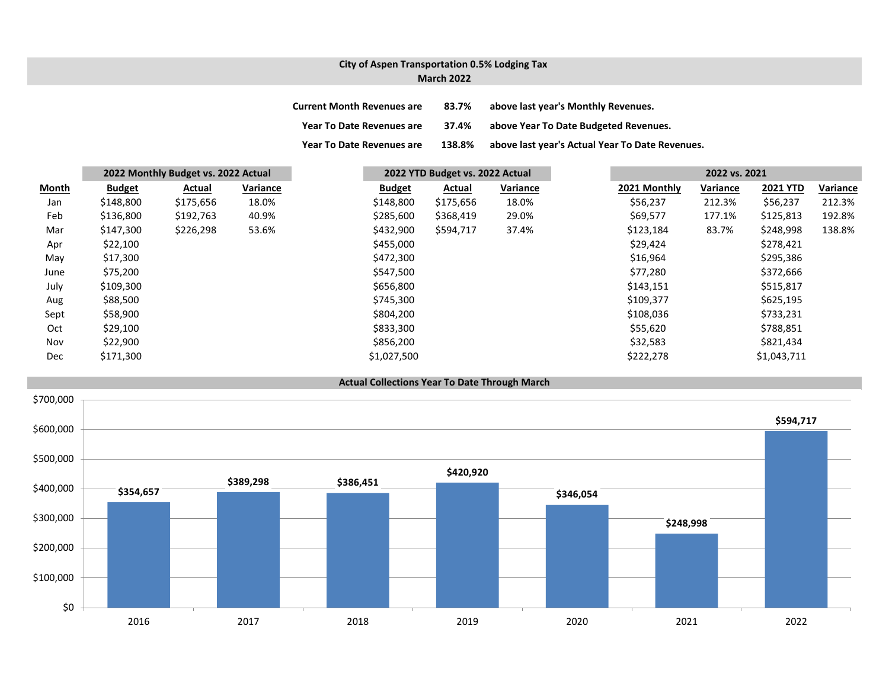### **City of Aspen Transportation 0.5% Lodging Tax March 2022**

| <b>Current Month Revenues are</b> | 83.7%  | above last year's Monthly Revenues.             |
|-----------------------------------|--------|-------------------------------------------------|
| <b>Year To Date Revenues are</b>  | 37.4%  | above Year To Date Budgeted Revenues.           |
| <b>Year To Date Revenues are</b>  | 138.8% | above last year's Actual Year To Date Revenues. |

|              |               | 2022 Monthly Budget vs. 2022 Actual |                 |               | 2022 YTD Budget vs. 2022 Actual |                 |              | 2022 vs. 2021   |                 |          |
|--------------|---------------|-------------------------------------|-----------------|---------------|---------------------------------|-----------------|--------------|-----------------|-----------------|----------|
| <b>Month</b> | <b>Budget</b> | Actual                              | <b>Variance</b> | <b>Budget</b> | Actual                          | <b>Variance</b> | 2021 Monthly | <b>Variance</b> | <b>2021 YTD</b> | Variance |
| Jan          | \$148,800     | \$175,656                           | 18.0%           | \$148,800     | \$175,656                       | 18.0%           | \$56,237     | 212.3%          | \$56,237        | 212.3%   |
| Feb          | \$136,800     | \$192,763                           | 40.9%           | \$285,600     | \$368,419                       | 29.0%           | \$69,577     | 177.1%          | \$125,813       | 192.8%   |
| Mar          | \$147,300     | \$226,298                           | 53.6%           | \$432,900     | \$594,717                       | 37.4%           | \$123,184    | 83.7%           | \$248,998       | 138.8%   |
| Apr          | \$22,100      |                                     |                 | \$455,000     |                                 |                 | \$29,424     |                 | \$278,421       |          |
| May          | \$17,300      |                                     |                 | \$472,300     |                                 |                 | \$16,964     |                 | \$295,386       |          |
| June         | \$75,200      |                                     |                 | \$547,500     |                                 |                 | \$77,280     |                 | \$372,666       |          |
| July         | \$109,300     |                                     |                 | \$656,800     |                                 |                 | \$143,151    |                 | \$515,817       |          |
| Aug          | \$88,500      |                                     |                 | \$745,300     |                                 |                 | \$109,377    |                 | \$625,195       |          |
| Sept         | \$58,900      |                                     |                 | \$804,200     |                                 |                 | \$108,036    |                 | \$733,231       |          |
| Oct          | \$29,100      |                                     |                 | \$833,300     |                                 |                 | \$55,620     |                 | \$788,851       |          |
| Nov          | \$22,900      |                                     |                 | \$856,200     |                                 |                 | \$32,583     |                 | \$821,434       |          |
| Dec          | \$171,300     |                                     |                 | \$1,027,500   |                                 |                 | \$222,278    |                 | \$1,043,711     |          |

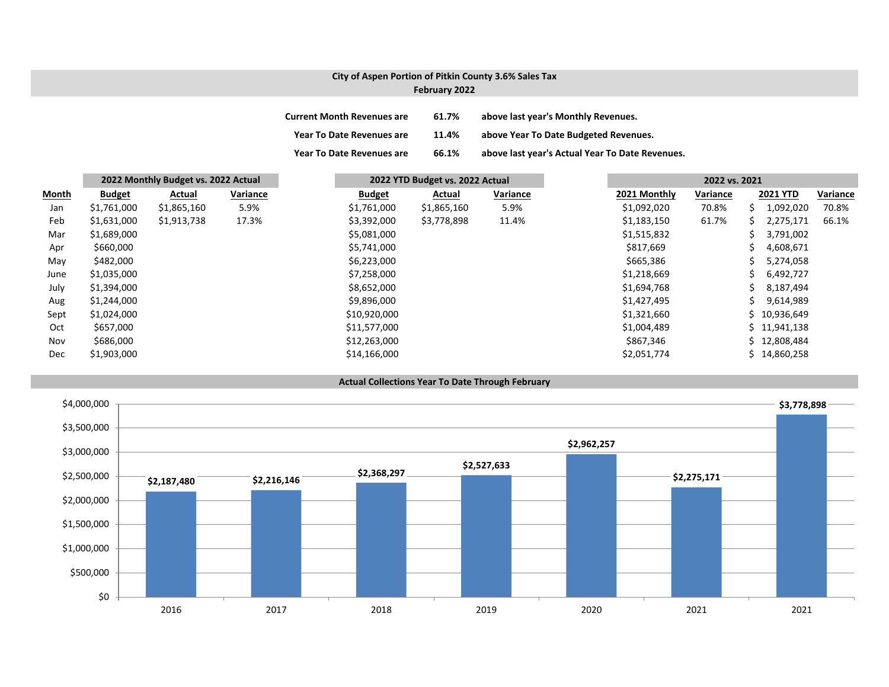# **City of Aspen Portion of Pitkin County 3.6% Sales Tax February 2022**

| <b>Current Month Revenues are</b> | 61.7% | above last year's Monthly Revenues.             |
|-----------------------------------|-------|-------------------------------------------------|
| <b>Year To Date Revenues are</b>  | 11.4% | above Year To Date Budgeted Revenues.           |
| <b>Year To Date Revenues are</b>  | 66.1% | above last year's Actual Year To Date Revenues. |

|              | 2022 Monthly Budget vs. 2022 Actual |             |          |               | 2022 YTD Budget vs. 2022 Actual |          |  | 2022 vs. 2021 |          |    |                 |          |
|--------------|-------------------------------------|-------------|----------|---------------|---------------------------------|----------|--|---------------|----------|----|-----------------|----------|
| <b>Month</b> | <b>Budget</b>                       | Actual      | Variance | <b>Budget</b> | Actual                          | Variance |  | 2021 Monthly  | Variance |    | <b>2021 YTD</b> | Variance |
| Jan          | \$1,761,000                         | \$1,865,160 | 5.9%     | \$1,761,000   | \$1,865,160                     | 5.9%     |  | \$1,092,020   | 70.8%    |    | 1,092,020       | 70.8%    |
| Feb          | \$1,631,000                         | \$1,913,738 | 17.3%    | \$3,392,000   | \$3,778,898                     | 11.4%    |  | \$1,183,150   | 61.7%    | S. | 2,275,171       | 66.1%    |
| Mar          | \$1,689,000                         |             |          | \$5,081,000   |                                 |          |  | \$1,515,832   |          |    | 3,791,002       |          |
| Apr          | \$660,000                           |             |          | \$5,741,000   |                                 |          |  | \$817,669     |          |    | 4,608,671       |          |
| May          | \$482,000                           |             |          | \$6,223,000   |                                 |          |  | \$665,386     |          |    | 5,274,058       |          |
| June         | \$1,035,000                         |             |          | \$7,258,000   |                                 |          |  | \$1,218,669   |          |    | 6,492,727       |          |
| July         | \$1,394,000                         |             |          | \$8,652,000   |                                 |          |  | \$1,694,768   |          |    | 8,187,494       |          |
| Aug          | \$1,244,000                         |             |          | \$9,896,000   |                                 |          |  | \$1,427,495   |          |    | 9,614,989       |          |
| Sept         | \$1,024,000                         |             |          | \$10,920,000  |                                 |          |  | \$1,321,660   |          |    | \$10,936,649    |          |
| Oct          | \$657,000                           |             |          | \$11,577,000  |                                 |          |  | \$1,004,489   |          |    | \$11,941,138    |          |
| Nov          | \$686,000                           |             |          | \$12,263,000  |                                 |          |  | \$867,346     |          |    | \$12,808,484    |          |
| <b>Dec</b>   | \$1,903,000                         |             |          | \$14,166,000  |                                 |          |  | \$2,051,774   |          |    | \$14,860,258    |          |



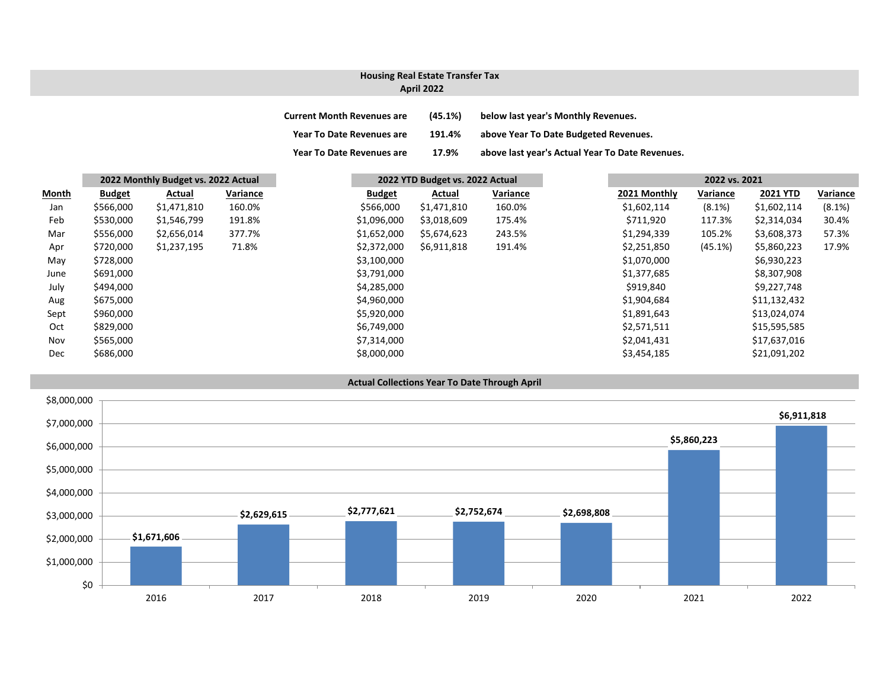### **April 2022 Housing Real Estate Transfer Tax**

| <b>Current Month Revenues are</b> | (45.1%) | below last year's Monthly Revenues.             |
|-----------------------------------|---------|-------------------------------------------------|
| Year To Date Revenues are         | 191.4%  | above Year To Date Budgeted Revenues.           |
| Year To Date Revenues are         | 17.9%   | above last year's Actual Year To Date Revenues. |

|       | 2022 Monthly Budget vs. 2022 Actual |             |          | 2022 YTD Budget vs. 2022 Actual |             |          |  |              | 2022 vs. 2021 |                 |          |  |
|-------|-------------------------------------|-------------|----------|---------------------------------|-------------|----------|--|--------------|---------------|-----------------|----------|--|
| Month | <b>Budget</b>                       | Actual      | Variance | <b>Budget</b>                   | Actual      | Variance |  | 2021 Monthly | Variance      | <b>2021 YTD</b> | Variance |  |
| Jan   | \$566,000                           | \$1,471,810 | 160.0%   | \$566,000                       | \$1,471,810 | 160.0%   |  | \$1,602,114  | $(8.1\%)$     | \$1,602,114     | (8.1%)   |  |
| Feb   | \$530,000                           | \$1,546,799 | 191.8%   | \$1,096,000                     | \$3,018,609 | 175.4%   |  | \$711,920    | 117.3%        | \$2,314,034     | 30.4%    |  |
| Mar   | \$556,000                           | \$2,656,014 | 377.7%   | \$1,652,000                     | \$5,674,623 | 243.5%   |  | \$1,294,339  | 105.2%        | \$3,608,373     | 57.3%    |  |
| Apr   | \$720,000                           | \$1,237,195 | 71.8%    | \$2,372,000                     | \$6,911,818 | 191.4%   |  | \$2,251,850  | (45.1%)       | \$5,860,223     | 17.9%    |  |
| May   | \$728,000                           |             |          | \$3,100,000                     |             |          |  | \$1,070,000  |               | \$6,930,223     |          |  |
| June  | \$691,000                           |             |          | \$3,791,000                     |             |          |  | \$1,377,685  |               | \$8,307,908     |          |  |
| July  | \$494,000                           |             |          | \$4,285,000                     |             |          |  | \$919,840    |               | \$9,227,748     |          |  |
| Aug   | \$675,000                           |             |          | \$4,960,000                     |             |          |  | \$1,904,684  |               | \$11,132,432    |          |  |
| Sept  | \$960,000                           |             |          | \$5,920,000                     |             |          |  | \$1,891,643  |               | \$13,024,074    |          |  |
| Oct   | \$829,000                           |             |          | \$6,749,000                     |             |          |  | \$2,571,511  |               | \$15,595,585    |          |  |
| Nov   | \$565,000                           |             |          | \$7,314,000                     |             |          |  | \$2,041,431  |               | \$17,637,016    |          |  |
| Dec   | \$686,000                           |             |          | \$8,000,000                     |             |          |  | \$3,454,185  |               | \$21,091,202    |          |  |

**Actual Collections Year To Date Through April**